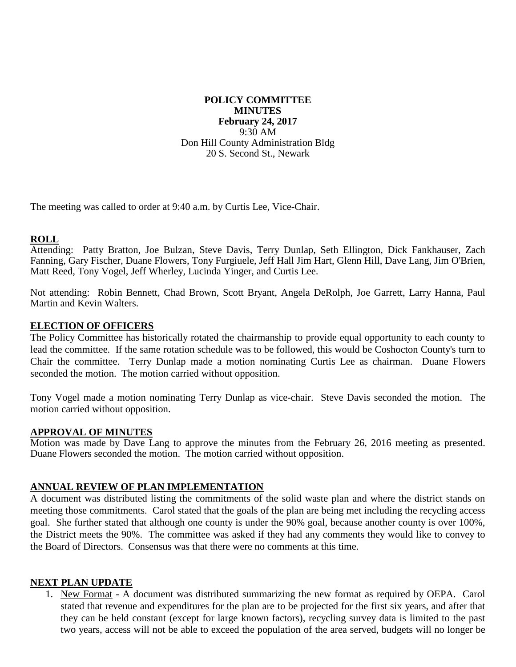## **POLICY COMMITTEE MINUTES February 24, 2017** 9:30 AM Don Hill County Administration Bldg 20 S. Second St., Newark

The meeting was called to order at 9:40 a.m. by Curtis Lee, Vice-Chair.

## **ROLL**

Attending: Patty Bratton, Joe Bulzan, Steve Davis, Terry Dunlap, Seth Ellington, Dick Fankhauser, Zach Fanning, Gary Fischer, Duane Flowers, Tony Furgiuele, Jeff Hall Jim Hart, Glenn Hill, Dave Lang, Jim O'Brien, Matt Reed, Tony Vogel, Jeff Wherley, Lucinda Yinger, and Curtis Lee.

Not attending: Robin Bennett, Chad Brown, Scott Bryant, Angela DeRolph, Joe Garrett, Larry Hanna, Paul Martin and Kevin Walters.

## **ELECTION OF OFFICERS**

The Policy Committee has historically rotated the chairmanship to provide equal opportunity to each county to lead the committee. If the same rotation schedule was to be followed, this would be Coshocton County's turn to Chair the committee. Terry Dunlap made a motion nominating Curtis Lee as chairman. Duane Flowers seconded the motion. The motion carried without opposition.

Tony Vogel made a motion nominating Terry Dunlap as vice-chair. Steve Davis seconded the motion. The motion carried without opposition.

#### **APPROVAL OF MINUTES**

Motion was made by Dave Lang to approve the minutes from the February 26, 2016 meeting as presented. Duane Flowers seconded the motion. The motion carried without opposition.

# **ANNUAL REVIEW OF PLAN IMPLEMENTATION**

A document was distributed listing the commitments of the solid waste plan and where the district stands on meeting those commitments. Carol stated that the goals of the plan are being met including the recycling access goal. She further stated that although one county is under the 90% goal, because another county is over 100%, the District meets the 90%. The committee was asked if they had any comments they would like to convey to the Board of Directors. Consensus was that there were no comments at this time.

#### **NEXT PLAN UPDATE**

1. New Format - A document was distributed summarizing the new format as required by OEPA. Carol stated that revenue and expenditures for the plan are to be projected for the first six years, and after that they can be held constant (except for large known factors), recycling survey data is limited to the past two years, access will not be able to exceed the population of the area served, budgets will no longer be